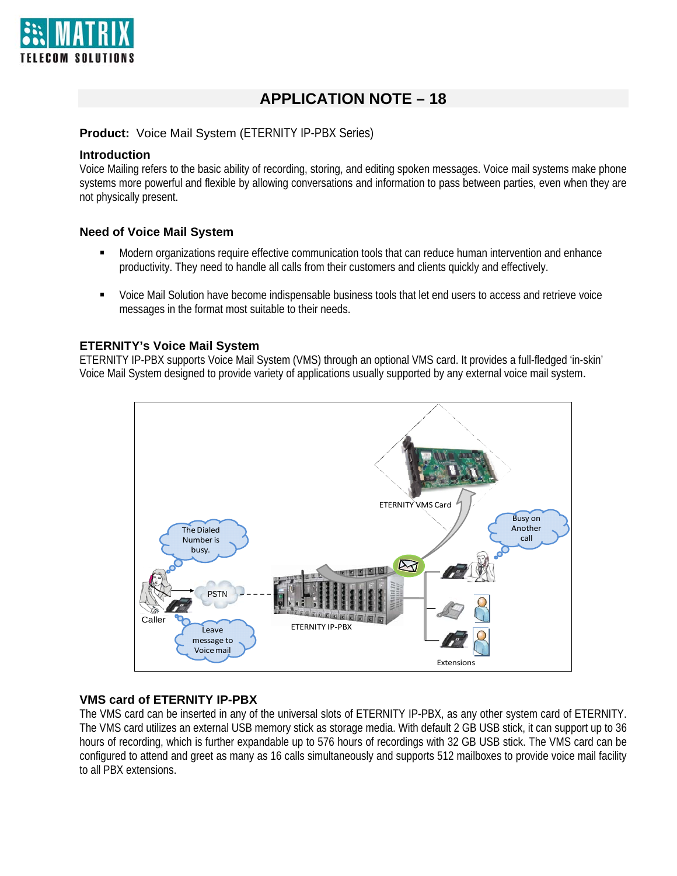

# **APPLICATION NOTE – 18**

#### **Product:** Voice Mail System (ETERNITY IP-PBX Series)

#### **Introduction**

Voice Mailing refers to the basic ability of recording, storing, and editing spoken messages. Voice mail systems make phone systems more powerful and flexible by allowing conversations and information to pass between parties, even when they are not physically present.

### **Need of Voice Mail System**

- Modern organizations require effective communication tools that can reduce human intervention and enhance productivity. They need to handle all calls from their customers and clients quickly and effectively.
- Voice Mail Solution have become indispensable business tools that let end users to access and retrieve voice messages in the format most suitable to their needs.

#### **ETERNITY's Voice Mail System**

ETERNITY IP-PBX supports Voice Mail System (VMS) through an optional VMS card. It provides a full-fledged 'in-skin' Voice Mail System designed to provide variety of applications usually supported by any external voice mail system.



## **VMS card of ETERNITY IP-PBX**

The VMS card can be inserted in any of the universal slots of ETERNITY IP-PBX, as any other system card of ETERNITY. The VMS card utilizes an external USB memory stick as storage media. With default 2 GB USB stick, it can support up to 36 hours of recording, which is further expandable up to 576 hours of recordings with 32 GB USB stick. The VMS card can be configured to attend and greet as many as 16 calls simultaneously and supports 512 mailboxes to provide voice mail facility to all PBX extensions.